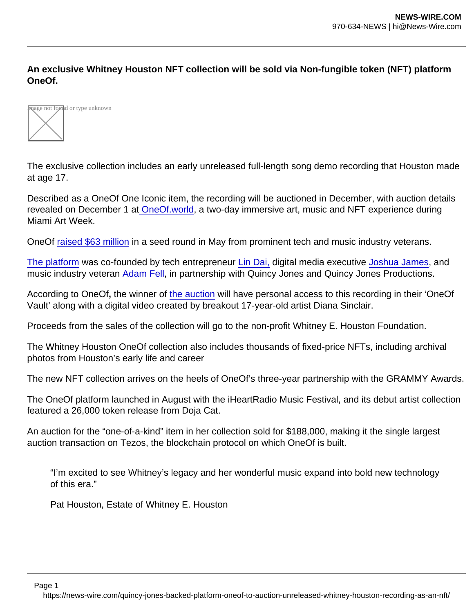An exclusive Whitney Houston NFT collection will be sold via Non-fungible token (NFT) platform OneOf.



The exclusive collection includes an early unreleased full-length song demo recording that Houston made at age 17.

Described as a OneOf One Iconic item, the recording will be auctioned in December, with auction details revealed on December 1 at [OneOf.world](https://www.oneof.world/), a two-day immersive art, music and NFT experience during Miami Art Week.

OneOf [raised \\$63 million](https://www.musicbusinessworldwide.com/music-nft-platform-oneof-co-founded-in-partnership-with-quincy-jones-raises-63m-in-seed-funding/) in a seed round in May from prominent tech and music industry veterans.

[The platform](https://oneof.com/) was co-founded by tech entrepreneur [Lin Dai,](https://www.linkedin.com/in/lindai/) digital media executive [Joshua James,](https://www.linkedin.com/in/joshua-james-731817/) and music industry veteran [Adam Fell](https://www.linkedin.com/in/fellzy?miniProfileUrn=urn:li:fs_miniProfile:ACoAAAFK8dkB-0ldFzVLgjbcGSu9p1zLAHYDpdk&lipi=urn:li:page:d_flagship3_search_srp_all;1ZaCV5d8REyB2Cq1ebBOqg==), in partnership with Quincy Jones and Quincy Jones Productions.

According to OneOf, the winner of [the auction](https://oneof.com/whitney) will have personal access to this recording in their 'OneOf Vault' along with a digital video created by breakout 17-year-old artist Diana Sinclair.

Proceeds from the sales of the collection will go to the non-profit Whitney E. Houston Foundation.

The Whitney Houston OneOf collection also includes thousands of fixed-price NFTs, including archival photos from Houston's early life and career

The new NFT collection arrives on the heels of OneOf's three-year partnership with the GRAMMY Awards.

The OneOf platform launched in August with the iHeartRadio Music Festival, and its debut artist collection featured a 26,000 token release from Doja Cat.

An auction for the "one-of-a-kind" item in her collection sold for \$188,000, making it the single largest auction transaction on Tezos, the blockchain protocol on which OneOf is built.

"I'm excited to see Whitney's legacy and her wonderful music expand into bold new technology of this era."

Pat Houston, Estate of Whitney E. Houston

Page 1

https://news-wire.com/quincy-jones-backed-platform-oneof-to-auction-unreleased-whitney-houston-recording-as-an-nft/